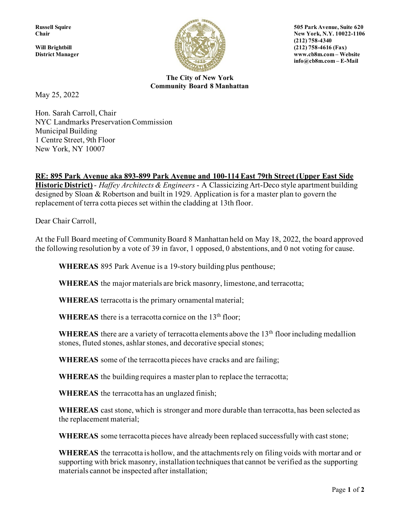

**Russell Squire 505 Park Avenue, Suite 620 Chair** New York, N.Y. 10022-1106 **District Manager www.cb8m.com – Website info@cb8m.com – E-Mail**

> **The City of New York Community Board 8 Manhattan**

May 25, 2022

Hon. Sarah Carroll, Chair NYC Landmarks Preservation Commission Municipal Building 1 Centre Street, 9th Floor New York, NY 10007

## **RE: 895 Park Avenue aka 893-899 Park Avenue and 100-114 East 79th Street (Upper East Side**

**Historic District)** - *Haffey Architects & Engineers* - A Classicizing Art-Deco style apartment building designed by Sloan & Robertson and built in 1929. Application is for a master plan to govern the replacement of terra cotta pieces set within the cladding at 13th floor.

Dear Chair Carroll,

At the Full Board meeting of Community Board 8 Manhattan held on May 18, 2022, the board approved the following resolution by a vote of 39 in favor, 1 opposed, 0 abstentions, and 0 not voting for cause.

**WHEREAS** 895 Park Avenue is a 19-story building plus penthouse;

**WHEREAS** the major materials are brick masonry, limestone, and terracotta;

**WHEREAS** terracotta is the primary ornamental material;

**WHEREAS** there is a terracotta cornice on the 13<sup>th</sup> floor;

WHEREAS there are a variety of terracotta elements above the 13<sup>th</sup> floor including medallion stones, fluted stones, ashlar stones, and decorative special stones;

**WHEREAS** some of the terracotta pieces have cracks and are failing;

**WHEREAS** the building requires a master plan to replace the terracotta;

**WHEREAS** the terracotta has an unglazed finish;

**WHEREAS** cast stone, which is stronger and more durable than terracotta, has been selected as the replacement material;

**WHEREAS** some terracotta pieces have already been replaced successfully with cast stone;

**WHEREAS** the terracotta is hollow, and the attachments rely on filing voids with mortar and or supporting with brick masonry, installation techniques that cannot be verified as the supporting materials cannot be inspected after installation;